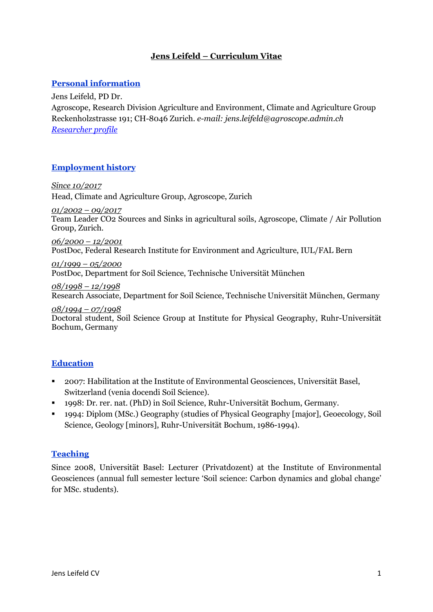# **Jens Leifeld – Curriculum Vitae**

### **Personal information**

Jens Leifeld, PD Dr.

Agroscope, Research Division Agriculture and Environment, Climate and Agriculture Group Reckenholzstrasse 191; CH-8046 Zurich. *e-mail: jens.leifeld@agroscope.admin.ch [Researcher profile](https://publons.com/researcher/2573315/jens-leifeld/)*

### **Employment history**

*Since 10/2017* Head, Climate and Agriculture Group, Agroscope, Zurich

*01/2002 – 09/2017*

Team Leader CO2 Sources and Sinks in agricultural soils, Agroscope, Climate / Air Pollution Group, Zurich.

*06/2000 – 12/2001* PostDoc, Federal Research Institute for Environment and Agriculture, IUL/FAL Bern

*01/1999 – 05/2000*  PostDoc, Department for Soil Science, Technische Universität München

*08/1998 – 12/1998*  Research Associate, Department for Soil Science, Technische Universität München, Germany

#### *08/1994 – 07/1998*

Doctoral student, Soil Science Group at Institute for Physical Geography, Ruhr-Universität Bochum, Germany

## **Education**

- 2007: Habilitation at the Institute of Environmental Geosciences, Universität Basel, Switzerland (venia docendi Soil Science).
- 1998: Dr. rer. nat. (PhD) in Soil Science, Ruhr-Universität Bochum, Germany.
- 1994: Diplom (MSc.) Geography (studies of Physical Geography [major], Geoecology, Soil Science, Geology [minors], Ruhr-Universität Bochum, 1986-1994).

#### **Teaching**

Since 2008, Universität Basel: Lecturer (Privatdozent) at the Institute of Environmental Geosciences (annual full semester lecture 'Soil science: Carbon dynamics and global change' for MSc. students).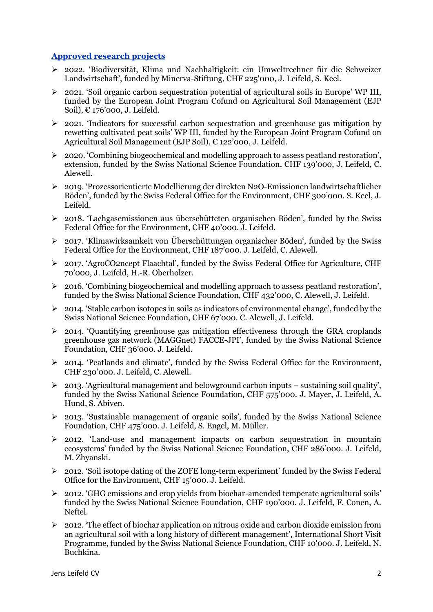### **Approved research projects**

- 2022. 'Biodiversität, Klima und Nachhaltigkeit: ein Umweltrechner für die Schweizer Landwirtschaft', funded by Minerva-Stiftung, CHF 225'000, J. Leifeld, S. Keel.
- 2021. 'Soil organic carbon sequestration potential of agricultural soils in Europe' WP III, funded by the European Joint Program Cofund on Agricultural Soil Management (EJP Soil), € 176'000, J. Leifeld.
- $\geq$  2021. 'Indicators for successful carbon sequestration and greenhouse gas mitigation by rewetting cultivated peat soils' WP III, funded by the European Joint Program Cofund on Agricultural Soil Management (EJP Soil), € 122'000, J. Leifeld.
- 2020. 'Combining biogeochemical and modelling approach to assess peatland restoration', extension, funded by the Swiss National Science Foundation, CHF 139'000, J. Leifeld, C. Alewell.
- 2019. 'Prozessorientierte Modellierung der direkten N2O-Emissionen landwirtschaftlicher Böden', funded by the Swiss Federal Office for the Environment, CHF 300'000. S. Keel, J. Leifeld.
- 2018. 'Lachgasemissionen aus überschütteten organischen Böden', funded by the Swiss Federal Office for the Environment, CHF 40'000. J. Leifeld.
- 2017. 'Klimawirksamkeit von Überschüttungen organischer Böden', funded by the Swiss Federal Office for the Environment, CHF 187'000. J. Leifeld, C. Alewell.
- 2017. 'AgroCO2ncept Flaachtal', funded by the Swiss Federal Office for Agriculture, CHF 70'000, J. Leifeld, H.-R. Oberholzer.
- > 2016. 'Combining biogeochemical and modelling approach to assess peatland restoration', funded by the Swiss National Science Foundation, CHF 432'000, C. Alewell, J. Leifeld.
- $\geq 2014$ . 'Stable carbon isotopes in soils as indicators of environmental change', funded by the Swiss National Science Foundation, CHF 67'000. C. Alewell, J. Leifeld.
- 2014. 'Quantifying greenhouse gas mitigation effectiveness through the GRA croplands greenhouse gas network (MAGGnet) FACCE-JPI', funded by the Swiss National Science Foundation, CHF 36'000. J. Leifeld.
- 2014. 'Peatlands and climate', funded by the Swiss Federal Office for the Environment, CHF 230'000. J. Leifeld, C. Alewell.
- $\geq 2013$ . 'Agricultural management and belowground carbon inputs sustaining soil quality', funded by the Swiss National Science Foundation, CHF 575'000. J. Mayer, J. Leifeld, A. Hund, S. Abiven.
- 2013. 'Sustainable management of organic soils', funded by the Swiss National Science Foundation, CHF 475'000. J. Leifeld, S. Engel, M. Müller.
- 2012. 'Land-use and management impacts on carbon sequestration in mountain ecosystems' funded by the Swiss National Science Foundation, CHF 286'000. J. Leifeld, M. Zhyanski.
- $\geq$  2012. 'Soil isotope dating of the ZOFE long-term experiment' funded by the Swiss Federal Office for the Environment, CHF 15'000. J. Leifeld.
- $\geq$  2012. 'GHG emissions and crop yields from biochar-amended temperate agricultural soils' funded by the Swiss National Science Foundation, CHF 190'000. J. Leifeld, F. Conen, A. Neftel.
- $\geq 2012$ . The effect of biochar application on nitrous oxide and carbon dioxide emission from an agricultural soil with a long history of different management', International Short Visit Programme, funded by the Swiss National Science Foundation, CHF 10'000. J. Leifeld, N. Buchkina.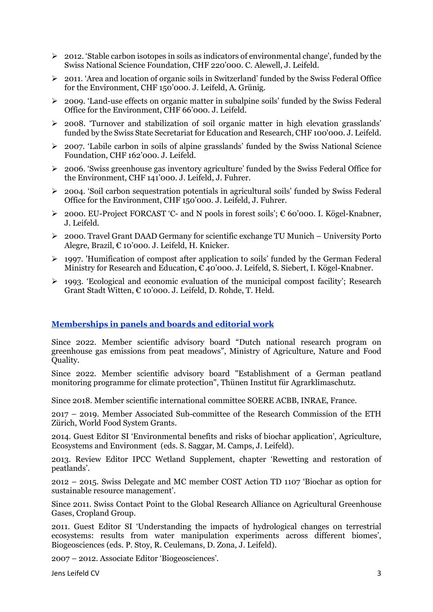- $\geq 2012$ . 'Stable carbon isotopes in soils as indicators of environmental change', funded by the Swiss National Science Foundation, CHF 220'000. C. Alewell, J. Leifeld.
- $\geq 2011$ . 'Area and location of organic soils in Switzerland' funded by the Swiss Federal Office for the Environment, CHF 150'000. J. Leifeld, A. Grünig.
- 2009. 'Land-use effects on organic matter in subalpine soils' funded by the Swiss Federal Office for the Environment, CHF 66'000. J. Leifeld.
- 2008. 'Turnover and stabilization of soil organic matter in high elevation grasslands' funded by the Swiss State Secretariat for Education and Research, CHF 100'000. J. Leifeld.
- $\geq$  2007. 'Labile carbon in soils of alpine grasslands' funded by the Swiss National Science Foundation, CHF 162'000. J. Leifeld.
- $\geq$  2006. 'Swiss greenhouse gas inventory agriculture' funded by the Swiss Federal Office for the Environment, CHF 141'000. J. Leifeld, J. Fuhrer.
- $\geq$  2004. 'Soil carbon sequestration potentials in agricultural soils' funded by Swiss Federal Office for the Environment, CHF 150'000. J. Leifeld, J. Fuhrer.
- $\geq 2000$ . EU-Project FORCAST 'C- and N pools in forest soils':  $\epsilon$  60'000. I. Kögel-Knabner, J. Leifeld.
- 2000. Travel Grant DAAD Germany for scientific exchange TU Munich University Porto Alegre, Brazil, € 10'000. J. Leifeld, H. Knicker.
- $\geq$  1997. 'Humification of compost after application to soils' funded by the German Federal Ministry for Research and Education,  $\hat{\epsilon}_4$ 0'000. J. Leifeld, S. Siebert, I. Kögel-Knabner.
- $\geq$  1993. 'Ecological and economic evaluation of the municipal compost facility'; Research Grant Stadt Witten, € 10'000. J. Leifeld, D. Rohde, T. Held.

#### **Memberships in panels and boards and editorial work**

Since 2022. Member scientific advisory board "Dutch national research program on greenhouse gas emissions from peat meadows", Ministry of Agriculture, Nature and Food Quality.

Since 2022. Member scientific advisory board "Establishment of a German peatland monitoring programme for climate protection", Thünen Institut für Agrarklimaschutz.

Since 2018. Member scientific international committee SOERE ACBB, INRAE, France.

2017 – 2019. Member Associated Sub-committee of the Research Commission of the ETH Zürich, World Food System Grants.

2014. Guest Editor SI 'Environmental benefits and risks of biochar application', Agriculture, Ecosystems and Environment (eds. S. Saggar, M. Camps, J. Leifeld).

2013. Review Editor IPCC Wetland Supplement, chapter 'Rewetting and restoration of peatlands'.

2012 – 2015. Swiss Delegate and MC member COST Action TD 1107 'Biochar as option for sustainable resource management'.

Since 2011. Swiss Contact Point to the Global Research Alliance on Agricultural Greenhouse Gases, Cropland Group.

2011. Guest Editor SI 'Understanding the impacts of hydrological changes on terrestrial ecosystems: results from water manipulation experiments across different biomes', Biogeosciences (eds. P. Stoy, R. Ceulemans, D. Zona, J. Leifeld).

2007 – 2012. Associate Editor 'Biogeosciences'.

Jens Leifeld CV 3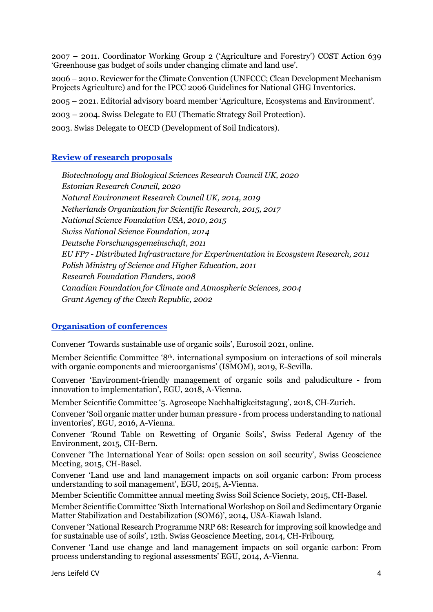2007 – 2011. Coordinator Working Group 2 ('Agriculture and Forestry') COST Action 639 'Greenhouse gas budget of soils under changing climate and land use'.

2006 – 2010. Reviewer for the Climate Convention (UNFCCC; Clean Development Mechanism Projects Agriculture) and for the IPCC 2006 Guidelines for National GHG Inventories.

2005 – 2021. Editorial advisory board member 'Agriculture, Ecosystems and Environment'.

2003 – 2004. Swiss Delegate to EU (Thematic Strategy Soil Protection).

2003. Swiss Delegate to OECD (Development of Soil Indicators).

### **Review of research proposals**

*Biotechnology and Biological Sciences Research Council UK, 2020 Estonian Research Council, 2020 Natural Environment Research Council UK, 2014, 2019 Netherlands Organization for Scientific Research, 2015, 2017 National Science Foundation USA, 2010, 2015 Swiss National Science Foundation, 2014 Deutsche Forschungsgemeinschaft, 2011 EU FP7 - Distributed Infrastructure for Experimentation in Ecosystem Research, 2011 Polish Ministry of Science and Higher Education, 2011 Research Foundation Flanders, 2008 Canadian Foundation for Climate and Atmospheric Sciences, 2004 Grant Agency of the Czech Republic, 2002*

#### **Organisation of conferences**

Convener 'Towards sustainable use of organic soils', Eurosoil 2021, online.

Member Scientific Committee '8th. international symposium on interactions of soil minerals with organic components and microorganisms' (ISMOM), 2019, E-Sevilla.

Convener 'Environment-friendly management of organic soils and paludiculture - from innovation to implementation', EGU, 2018, A-Vienna.

Member Scientific Committee '5. Agroscope Nachhaltigkeitstagung', 2018, CH-Zurich.

Convener 'Soil organic matter under human pressure - from process understanding to national inventories', EGU, 2016, A-Vienna.

Convener 'Round Table on Rewetting of Organic Soils', Swiss Federal Agency of the Environment, 2015, CH-Bern.

Convener 'The International Year of Soils: open session on soil security', Swiss Geoscience Meeting, 2015, CH-Basel.

Convener 'Land use and land management impacts on soil organic carbon: From process understanding to soil management', EGU, 2015, A-Vienna.

Member Scientific Committee annual meeting Swiss Soil Science Society, 2015, CH-Basel.

Member Scientific Committee 'Sixth International Workshop on Soil and Sedimentary Organic Matter Stabilization and Destabilization (SOM6)', 2014, USA-Kiawah Island.

Convener 'National Research Programme NRP 68: Research for improving soil knowledge and for sustainable use of soils', 12th. Swiss Geoscience Meeting, 2014, CH-Fribourg.

Convener 'Land use change and land management impacts on soil organic carbon: From process understanding to regional assessments' EGU, 2014, A-Vienna.

Jens Leifeld CV 4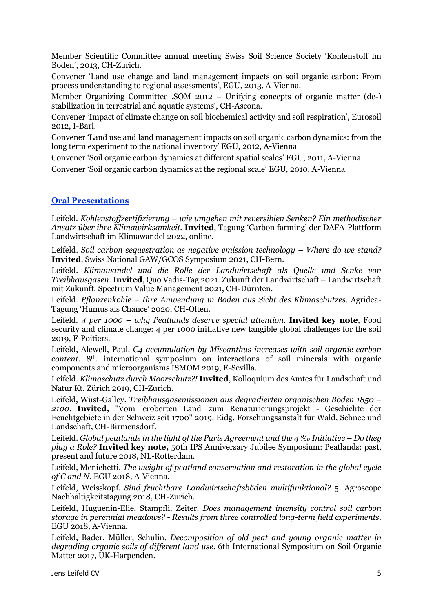Member Scientific Committee annual meeting Swiss Soil Science Society 'Kohlenstoff im Boden', 2013, CH-Zurich.

Convener 'Land use change and land management impacts on soil organic carbon: From process understanding to regional assessments', EGU, 2013, A-Vienna.

Member Organizing Committee , SOM 2012 – Unifying concepts of organic matter (de-) stabilization in terrestrial and aquatic systems', CH-Ascona.

Convener 'Impact of climate change on soil biochemical activity and soil respiration', Eurosoil 2012, I-Bari.

Convener 'Land use and land management impacts on soil organic carbon dynamics: from the long term experiment to the national inventory' EGU, 2012, A-Vienna

Convener 'Soil organic carbon dynamics at different spatial scales' EGU, 2011, A-Vienna.

Convener 'Soil organic carbon dynamics at the regional scale' EGU, 2010, A-Vienna.

#### **Oral Presentations**

Leifeld. *Kohlenstoffzertifizierung – wie umgehen mit reversiblen Senken? Ein methodischer Ansatz über ihre Klimawirksamkeit.* **Invited**, Tagung 'Carbon farming' der DAFA-Plattform Landwirtschaft im Klimawandel 2022, online.

Leifeld. *Soil carbon sequestration as negative emission technology – Where do we stand?* **Invited**, Swiss National GAW/GCOS Symposium 2021, CH-Bern.

Leifeld. *Klimawandel und die Rolle der Landwirtschaft als Quelle und Senke von Treibhausgasen*. **Invited**, Quo Vadis-Tag 2021. Zukunft der Landwirtschaft – Landwirtschaft mit Zukunft. Spectrum Value Management 2021, CH-Dürnten.

Leifeld. *Pflanzenkohle – Ihre Anwendung in Böden aus Sicht des Klimaschutzes*. Agridea-Tagung 'Humus als Chance' 2020, CH-Olten.

Leifeld. *4 per 1000 – why Peatlands deserve special attention*. **Invited key note**, Food security and climate change: 4 per 1000 initiative new tangible global challenges for the soil 2019, F-Poitiers.

Leifeld, Alewell, Paul. *C4-accumulation by Miscanthus increases with soil organic carbon content*. 8<sup>th</sup>. international symposium on interactions of soil minerals with organic components and microorganisms ISMOM 2019, E-Sevilla.

Leifeld. *Klimaschutz durch Moorschutz?!* **Invited**, Kolloquium des Amtes für Landschaft und Natur Kt. Zürich 2019, CH-Zurich.

Leifeld, Wüst-Galley. *Treibhausgasemissionen aus degradierten organischen Böden 1850 – 2100*. **Invited,** "Vom 'eroberten Land' zum Renaturierungsprojekt - Geschichte der Feuchtgebiete in der Schweiz seit 1700" 2019. Eidg. Forschungsanstalt für Wald, Schnee und Landschaft, CH-Birmensdorf.

Leifeld. *Global peatlands in the light of the Paris Agreement and the 4 ‰ Initiative – Do they play a Role?* **Invited key note,** 50th IPS Anniversary Jubilee Symposium: Peatlands: past, present and future 2018, NL-Rotterdam.

Leifeld, Menichetti. *The weight of peatland conservation and restoration in the global cycle of C and N*. EGU 2018, A-Vienna.

Leifeld, Weisskopf. *Sind fruchtbare Landwirtschaftsböden multifunktional?* 5. Agroscope Nachhaltigkeitstagung 2018, CH-Zurich.

Leifeld, Huguenin-Elie, Stampfli, Zeiter. *Does management intensity control soil carbon storage in perennial meadows? - Results from three controlled long-term field experiments*. EGU 2018, A-Vienna.

Leifeld, Bader, Müller, Schulin. *Decomposition of old peat and young organic matter in degrading organic soils of different land use*. 6th International Symposium on Soil Organic Matter 2017, UK-Harpenden.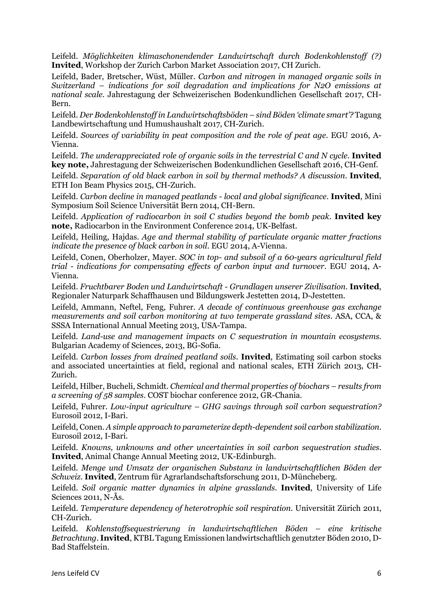Leifeld. *Möglichkeiten klimaschonendender Landwirtschaft durch Bodenkohlenstoff (?)* **Invited**, Workshop der Zurich Carbon Market Association 2017, CH Zurich.

Leifeld, Bader, Bretscher, Wüst, Müller. *Carbon and nitrogen in managed organic soils in Switzerland – indications for soil degradation and implications for N2O emissions at national scale.* Jahrestagung der Schweizerischen Bodenkundlichen Gesellschaft 2017, CH-Bern.

Leifeld. *Der Bodenkohlenstoff in Landwirtschaftsböden – sind Böden 'climate smart'?* Tagung Landbewirtschaftung und Humushaushalt 2017, CH-Zurich.

Leifeld. *Sources of variability in peat composition and the role of peat age*. EGU 2016, A-Vienna.

Leifeld. *The underappreciated role of organic soils in the terrestrial C and N cycle*. **Invited key note,** Jahrestagung der Schweizerischen Bodenkundlichen Gesellschaft 2016, CH-Genf.

Leifeld. *Separation of old black carbon in soil by thermal methods? A discussion*. **Invited**, ETH Ion Beam Physics 2015, CH-Zurich.

Leifeld. *Carbon decline in managed peatlands - local and global significance*. **Invited**, Mini Symposium Soil Science Universität Bern 2014, CH-Bern.

Leifeld. *Application of radiocarbon in soil C studies beyond the bomb peak*. **Invited key note,** Radiocarbon in the Environment Conference 2014, UK-Belfast.

Leifeld, Heiling, Hajdas. *Age and thermal stability of particulate organic matter fractions indicate the presence of black carbon in soil*. EGU 2014, A-Vienna.

Leifeld, Conen, Oberholzer, Mayer. *SOC in top- and subsoil of a 60-years agricultural field trial - indications for compensating effects of carbon input and turnover*. EGU 2014, A-Vienna.

Leifeld. *Fruchtbarer Boden und Landwirtschaft - Grundlagen unserer Zivilisation*. **Invited**, Regionaler Naturpark Schaffhausen und Bildungswerk Jestetten 2014, D-Jestetten.

Leifeld, Ammann, Neftel, Feng, Fuhrer. *A decade of continuous greenhouse gas exchange measurements and soil carbon monitoring at two temperate grassland sites*. ASA, CCA, & SSSA International Annual Meeting 2013, USA-Tampa.

Leifeld. *Land-use and management impacts on C sequestration in mountain ecosystems.* Bulgarian Academy of Sciences, 2013, BG-Sofia.

Leifeld. *Carbon losses from drained peatland soils*. **Invited**, Estimating soil carbon stocks and associated uncertainties at field, regional and national scales, ETH Zürich 2013, CH-Zurich.

Leifeld, Hilber, Bucheli, Schmidt. *Chemical and thermal properties of biochars – results from a screening of 58 samples*. COST biochar conference 2012, GR-Chania.

Leifeld, Fuhrer. *Low-input agriculture – GHG savings through soil carbon sequestration?* Eurosoil 2012, I-Bari.

Leifeld, Conen. *A simple approach to parameterize depth-dependent soil carbon stabilization*. Eurosoil 2012, I-Bari.

Leifeld. *Knowns, unknowns and other uncertainties in soil carbon sequestration studies*. **Invited**, Animal Change Annual Meeting 2012, UK-Edinburgh.

Leifeld. *Menge und Umsatz der organischen Substanz in landwirtschaftlichen Böden der Schweiz*. **Invited**, Zentrum für Agrarlandschaftsforschung 2011, D-Müncheberg.

Leifeld. *Soil organic matter dynamics in alpine grasslands*. **Invited**, University of Life Sciences 2011, N-Ås.

Leifeld. *Temperature dependency of heterotrophic soil respiration*. Universität Zürich 2011, CH-Zurich.

Leifeld. *Kohlenstoffsequestrierung in landwirtschaftlichen Böden – eine kritische Betrachtung*. **Invited**, KTBL Tagung Emissionen landwirtschaftlich genutzter Böden 2010, D-Bad Staffelstein.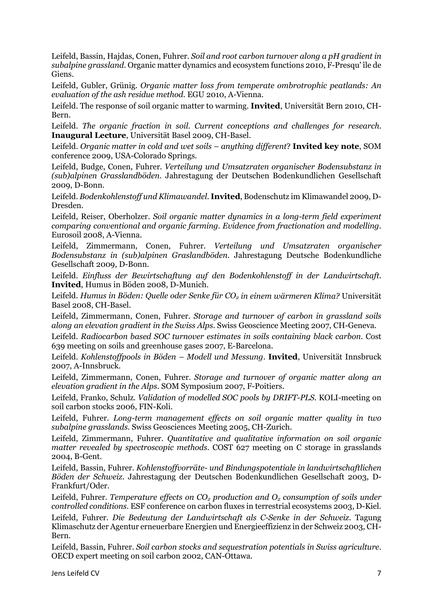Leifeld, Bassin, Hajdas, Conen, Fuhrer. *Soil and root carbon turnover along a pH gradient in subalpine grassland*. Organic matter dynamics and ecosystem functions 2010, F-Presqu' île de Giens.

Leifeld, Gubler, Grünig. *Organic matter loss from temperate ombrotrophic peatlands: An evaluation of the ash residue method*. EGU 2010, A-Vienna.

Leifeld. The response of soil organic matter to warming. **Invited**, Universität Bern 2010, CH-Bern.

Leifeld. *The organic fraction in soil. Current conceptions and challenges for research*. **Inaugural Lecture**, Universität Basel 2009, CH-Basel.

Leifeld. *Organic matter in cold and wet soils – anything different*? **Invited key note**, SOM conference 2009, USA-Colorado Springs.

Leifeld, Budge, Conen, Fuhrer. *Verteilung und Umsatzraten organischer Bodensubstanz in (sub)alpinen Grasslandböden*. Jahrestagung der Deutschen Bodenkundlichen Gesellschaft 2009, D-Bonn.

Leifeld. *Bodenkohlenstoff und Klimawandel*. **Invited**, Bodenschutz im Klimawandel 2009, D-Dresden.

Leifeld, Reiser, Oberholzer. *Soil organic matter dynamics in a long-term field experiment comparing conventional and organic farming. Evidence from fractionation and modelling*. Eurosoil 2008, A-Vienna.

Leifeld, Zimmermann, Conen, Fuhrer. *Verteilung und Umsatzraten organischer Bodensubstanz in (sub)alpinen Graslandböden*. Jahrestagung Deutsche Bodenkundliche Gesellschaft 2009, D-Bonn.

Leifeld. *Einfluss der Bewirtschaftung auf den Bodenkohlenstoff in der Landwirtschaft*. **Invited**, Humus in Böden 2008, D-Munich.

Leifeld. Humus in Böden: Quelle oder Senke für CO<sub>2</sub> in einem wärmeren Klima? Universität Basel 2008, CH-Basel.

Leifeld, Zimmermann, Conen, Fuhrer. *Storage and turnover of carbon in grassland soils along an elevation gradient in the Swiss Alps*. Swiss Geoscience Meeting 2007, CH-Geneva.

Leifeld. *Radiocarbon based SOC turnover estimates in soils containing black carbon*. Cost 639 meeting on soils and greenhouse gases 2007, E-Barcelona.

Leifeld. *Kohlenstoffpools in Böden – Modell und Messung*. **Invited**, Universität Innsbruck 2007, A-Innsbruck.

Leifeld, Zimmermann, Conen, Fuhrer. *Storage and turnover of organic matter along an elevation gradient in the Alps*. SOM Symposium 2007, F-Poitiers.

Leifeld, Franko, Schulz. *Validation of modelled SOC pools by DRIFT-PLS*. KOLI-meeting on soil carbon stocks 2006, FIN-Koli.

Leifeld, Fuhrer. *Long-term management effects on soil organic matter quality in two subalpine grasslands*. Swiss Geosciences Meeting 2005, CH-Zurich.

Leifeld, Zimmermann, Fuhrer*. Quantitative and qualitative information on soil organic matter revealed by spectroscopic methods*. COST 627 meeting on C storage in grasslands 2004, B-Gent.

Leifeld, Bassin, Fuhrer. *Kohlenstoffvorräte- und Bindungspotentiale in landwirtschaftlichen Böden der Schweiz*. Jahrestagung der Deutschen Bodenkundlichen Gesellschaft 2003, D-Frankfurt/Oder.

Leifeld, Fuhrer. *Temperature effects on CO<sub>2</sub> production and O<sub>2</sub> consumption of soils under controlled conditions*. ESF conference on carbon fluxes in terrestrial ecosystems 2003, D-Kiel.

Leifeld, Fuhrer. *Die Bedeutung der Landwirtschaft als C-Senke in der Schweiz*. Tagung Klimaschutz der Agentur erneuerbare Energien und Energieeffizienz in der Schweiz 2003, CH-Bern.

Leifeld, Bassin, Fuhrer. *Soil carbon stocks and sequestration potentials in Swiss agriculture*. OECD expert meeting on soil carbon 2002, CAN-Ottawa.